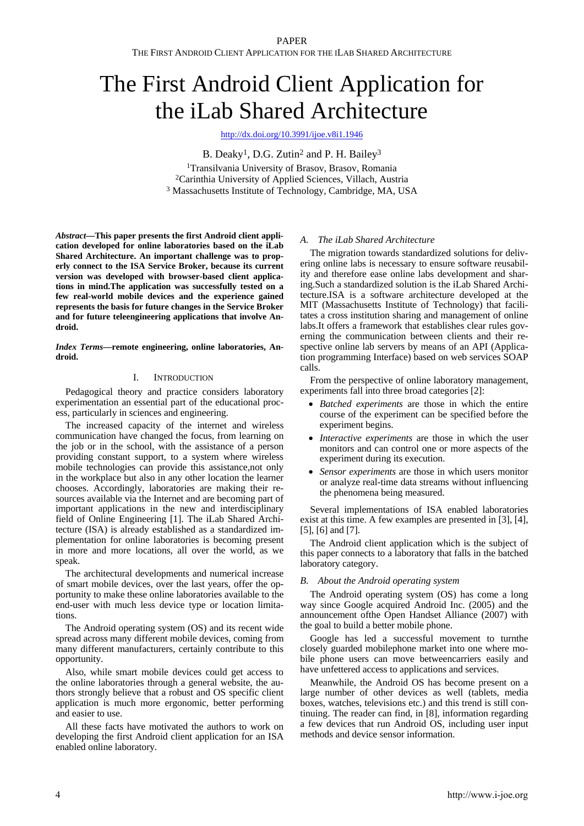# The First Android Client Application for the iLab Shared Architecture

<http://dx.doi.org/10.3991/ijoe.v8i1.1946>

B. Deaky<sup>1</sup>, D.G. Zutin<sup>2</sup> and P. H. Bailey<sup>3</sup> <sup>1</sup>Transilvania University of Brasov, Brasov, Romania 2Carinthia University of Applied Sciences, Villach, Austria 3 Massachusetts Institute of Technology, Cambridge, MA, USA

*Abstract***—This paper presents the first Android client application developed for online laboratories based on the iLab Shared Architecture. An important challenge was to properly connect to the ISA Service Broker, because its current version was developed with browser-based client applications in mind.The application was successfully tested on a few real-world mobile devices and the experience gained represents the basis for future changes in the Service Broker and for future teleengineering applications that involve Android.** 

*Index Terms***—remote engineering, online laboratories, Android.** 

## I. INTRODUCTION

Pedagogical theory and practice considers laboratory experimentation an essential part of the educational process, particularly in sciences and engineering.

The increased capacity of the internet and wireless communication have changed the focus, from learning on the job or in the school, with the assistance of a person providing constant support, to a system where wireless mobile technologies can provide this assistance,not only in the workplace but also in any other location the learner chooses. Accordingly, laboratories are making their resources available via the Internet and are becoming part of important applications in the new and interdisciplinary field of Online Engineering [1]. The iLab Shared Architecture (ISA) is already established as a standardized implementation for online laboratories is becoming present in more and more locations, all over the world, as we speak.

The architectural developments and numerical increase of smart mobile devices, over the last years, offer the opportunity to make these online laboratories available to the end-user with much less device type or location limitations.

The Android operating system (OS) and its recent wide spread across many different mobile devices, coming from many different manufacturers, certainly contribute to this opportunity.

Also, while smart mobile devices could get access to the online laboratories through a general website, the authors strongly believe that a robust and OS specific client application is much more ergonomic, better performing and easier to use.

All these facts have motivated the authors to work on developing the first Android client application for an ISA enabled online laboratory.

# *A. The iLab Shared Architecture*

The migration towards standardized solutions for delivering online labs is necessary to ensure software reusability and therefore ease online labs development and sharing.Such a standardized solution is the iLab Shared Architecture.ISA is a software architecture developed at the MIT (Massachusetts Institute of Technology) that facilitates a cross institution sharing and management of online labs.It offers a framework that establishes clear rules governing the communication between clients and their respective online lab servers by means of an API (Application programming Interface) based on web services SOAP calls.

From the perspective of online laboratory management, experiments fall into three broad categories [2]:

- *Batched experiments* are those in which the entire course of the experiment can be specified before the experiment begins.
- *Interactive experiments* are those in which the user monitors and can control one or more aspects of the experiment during its execution.
- *Sensor experiments* are those in which users monitor or analyze real-time data streams without influencing the phenomena being measured.

Several implementations of ISA enabled laboratories exist at this time. A few examples are presented in [3], [4], [5], [6] and [7].

The Android client application which is the subject of this paper connects to a laboratory that falls in the batched laboratory category.

## *B. About the Android operating system*

The Android operating system (OS) has come a long way since Google acquired Android Inc. (2005) and the announcement ofthe Open Handset Alliance (2007) with the goal to build a better mobile phone.

Google has led a successful movement to turnthe closely guarded mobilephone market into one where mobile phone users can move betweencarriers easily and have unfettered access to applications and services.

Meanwhile, the Android OS has become present on a large number of other devices as well (tablets, media boxes, watches, televisions etc.) and this trend is still continuing. The reader can find, in [8], information regarding a few devices that run Android OS, including user input methods and device sensor information.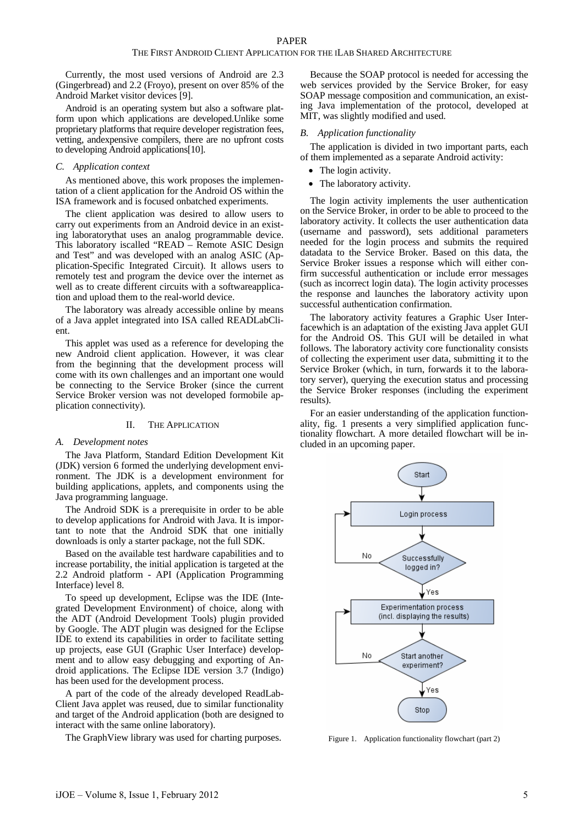Currently, the most used versions of Android are 2.3 (Gingerbread) and 2.2 (Froyo), present on over 85% of the Android Market visitor devices [9].

Android is an operating system but also a software platform upon which applications are developed.Unlike some proprietary platforms that require developer registration fees, vetting, andexpensive compilers, there are no upfront costs to developing Android applications[10].

#### *C. Application context*

As mentioned above, this work proposes the implementation of a client application for the Android OS within the ISA framework and is focused onbatched experiments.

The client application was desired to allow users to carry out experiments from an Android device in an existing laboratorythat uses an analog programmable device. This laboratory iscalled "READ – Remote ASIC Design and Test" and was developed with an analog ASIC (Application-Specific Integrated Circuit). It allows users to remotely test and program the device over the internet as well as to create different circuits with a softwareapplication and upload them to the real-world device.

The laboratory was already accessible online by means of a Java applet integrated into ISA called READLabClient.

This applet was used as a reference for developing the new Android client application. However, it was clear from the beginning that the development process will come with its own challenges and an important one would be connecting to the Service Broker (since the current Service Broker version was not developed formobile application connectivity).

## II. THE APPLICATION

#### *A. Development notes*

The Java Platform, Standard Edition Development Kit (JDK) version 6 formed the underlying development environment. The JDK is a development environment for building applications, applets, and components using the Java programming language.

The Android SDK is a prerequisite in order to be able to develop applications for Android with Java. It is important to note that the Android SDK that one initially downloads is only a starter package, not the full SDK.

Based on the available test hardware capabilities and to increase portability, the initial application is targeted at the 2.2 Android platform - API (Application Programming Interface) level 8.

To speed up development, Eclipse was the IDE (Integrated Development Environment) of choice, along with the ADT (Android Development Tools) plugin provided by Google. The ADT plugin was designed for the Eclipse IDE to extend its capabilities in order to facilitate setting up projects, ease GUI (Graphic User Interface) development and to allow easy debugging and exporting of Android applications. The Eclipse IDE version 3.7 (Indigo) has been used for the development process.

A part of the code of the already developed ReadLab-Client Java applet was reused, due to similar functionality and target of the Android application (both are designed to interact with the same online laboratory).

The GraphView library was used for charting purposes.

Because the SOAP protocol is needed for accessing the web services provided by the Service Broker, for easy SOAP message composition and communication, an existing Java implementation of the protocol, developed at MIT, was slightly modified and used.

# *B. Application functionality*

The application is divided in two important parts, each of them implemented as a separate Android activity:

- The login activity.
- The laboratory activity.

The login activity implements the user authentication on the Service Broker, in order to be able to proceed to the laboratory activity. It collects the user authentication data (username and password), sets additional parameters needed for the login process and submits the required datadata to the Service Broker. Based on this data, the Service Broker issues a response which will either confirm successful authentication or include error messages (such as incorrect login data). The login activity processes the response and launches the laboratory activity upon successful authentication confirmation.

The laboratory activity features a Graphic User Interfacewhich is an adaptation of the existing Java applet GUI for the Android OS. This GUI will be detailed in what follows. The laboratory activity core functionality consists of collecting the experiment user data, submitting it to the Service Broker (which, in turn, forwards it to the laboratory server), querying the execution status and processing the Service Broker responses (including the experiment results).

For an easier understanding of the application functionality, fig. 1 presents a very simplified application functionality flowchart. A more detailed flowchart will be included in an upcoming paper.



Figure 1. Application functionality flowchart (part 2)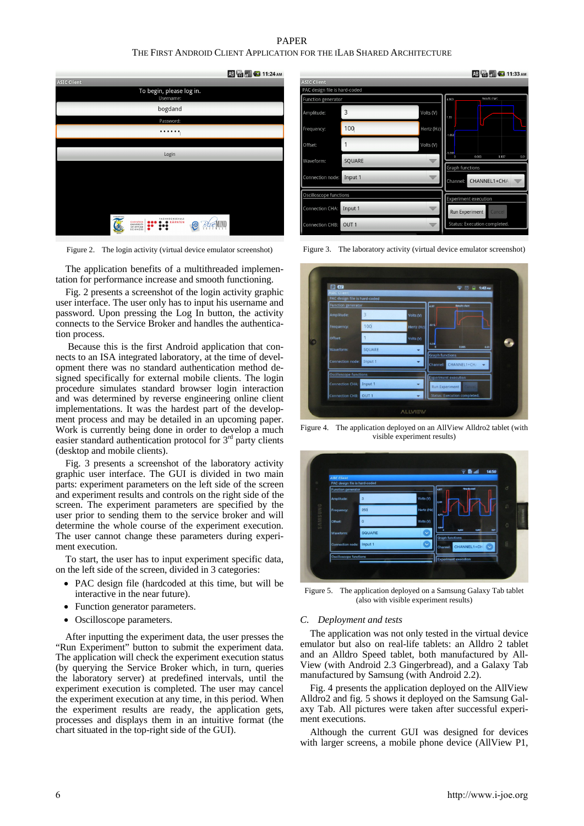# PAPER THE FIRST ANDROID CLIENT APPLICATION FOR THE ILAB SHARED ARCHITECTURE



Figure 2. The login activity (virtual device emulator screenshot)

The application benefits of a multithreaded implementation for performance increase and smooth functioning.

Fig. 2 presents a screenshot of the login activity graphic user interface. The user only has to input his username and password. Upon pressing the Log In button, the activity connects to the Service Broker and handles the authentication process.

 Because this is the first Android application that connects to an ISA integrated laboratory, at the time of development there was no standard authentication method designed specifically for external mobile clients. The login procedure simulates standard browser login interaction and was determined by reverse engineering online client implementations. It was the hardest part of the development process and may be detailed in an upcoming paper. Work is currently being done in order to develop a much easier standard authentication protocol for  $3<sup>rd</sup>$  party clients (desktop and mobile clients).

Fig. 3 presents a screenshot of the laboratory activity graphic user interface. The GUI is divided in two main parts: experiment parameters on the left side of the screen and experiment results and controls on the right side of the screen. The experiment parameters are specified by the user prior to sending them to the service broker and will determine the whole course of the experiment execution. The user cannot change these parameters during experiment execution.

To start, the user has to input experiment specific data, on the left side of the screen, divided in 3 categories:

- PAC design file (hardcoded at this time, but will be interactive in the near future).
- Function generator parameters.
- Oscilloscope parameters.

After inputting the experiment data, the user presses the "Run Experiment" button to submit the experiment data. The application will check the experiment execution status (by querying the Service Broker which, in turn, queries the laboratory server) at predefined intervals, until the experiment execution is completed. The user may cancel the experiment execution at any time, in this period. When the experiment results are ready, the application gets, processes and displays them in an intuitive format (the chart situated in the top-right side of the GUI).



Figure 3. The laboratory activity (virtual device emulator screenshot)



Figure 4. The application deployed on an AllView Alldro2 tablet (with visible experiment results)



Figure 5. The application deployed on a Samsung Galaxy Tab tablet (also with visible experiment results)

#### *C. Deployment and tests*

The application was not only tested in the virtual device emulator but also on real-life tablets: an Alldro 2 tablet and an Alldro Speed tablet, both manufactured by All-View (with Android 2.3 Gingerbread), and a Galaxy Tab manufactured by Samsung (with Android 2.2).

Fig. 4 presents the application deployed on the AllView Alldro2 and fig. 5 shows it deployed on the Samsung Galaxy Tab. All pictures were taken after successful experiment executions.

Although the current GUI was designed for devices with larger screens, a mobile phone device (AllView P1,